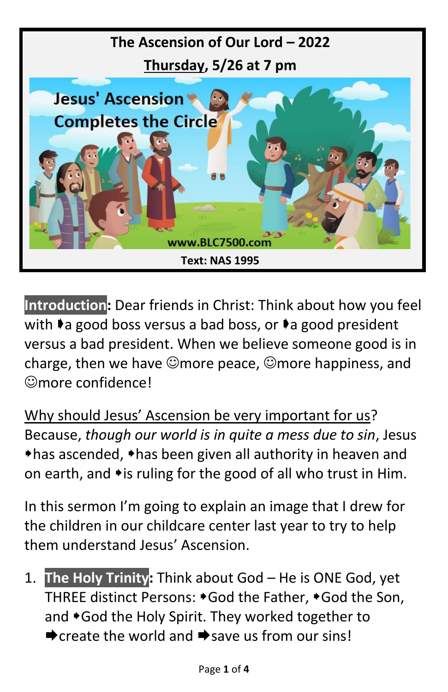

**Introduction:** Dear friends in Christ: Think about how you feel with  $\bullet$  a good boss versus a bad boss, or  $\bullet$  a good president versus a bad president. When we believe someone good is in charge, then we have  $\odot$ more peace,  $\odot$ more happiness, and ☺more confidence!

Why should Jesus' Ascension be very important for us? Because, *though our world is in quite a mess due to sin*, Jesus  $\triangle$ has ascended,  $\triangle$ has been given all authority in heaven and on earth, and  $\rightarrow$  is ruling for the good of all who trust in Him.

In this sermon I'm going to explain an image that I drew for the children in our childcare center last year to try to help them understand Jesus' Ascension.

1. **The Holy Trinity:** Think about God – He is ONE God, yet THREE distinct Persons:  $\ast$  God the Father,  $\ast$  God the Son, and \*God the Holy Spirit. They worked together to  $\rightarrow$  create the world and  $\rightarrow$  save us from our sins!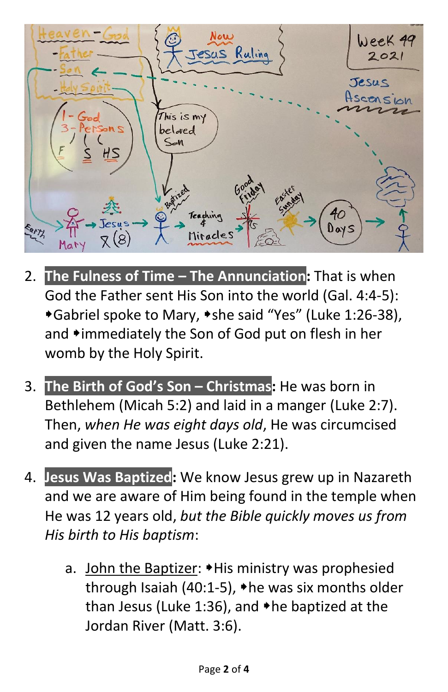

- 2. **The Fulness of Time – The Annunciation:** That is when God the Father sent His Son into the world (Gal. 4:4-5): \*Gabriel spoke to Mary, \*she said "Yes" (Luke 1:26-38), and \*immediately the Son of God put on flesh in her womb by the Holy Spirit.
- 3. **The Birth of God's Son – Christmas:** He was born in Bethlehem (Micah 5:2) and laid in a manger (Luke 2:7). Then, *when He was eight days old*, He was circumcised and given the name Jesus (Luke 2:21).
- 4. **Jesus Was Baptized:** We know Jesus grew up in Nazareth and we are aware of Him being found in the temple when He was 12 years old, *but the Bible quickly moves us from His birth to His baptism*:
	- a. John the Baptizer:  $\blacktriangleright$  His ministry was prophesied through Isaiah (40:1-5),  $\triangle$  he was six months older than Jesus (Luke 1:36), and  $\triangle$ he baptized at the Jordan River (Matt. 3:6).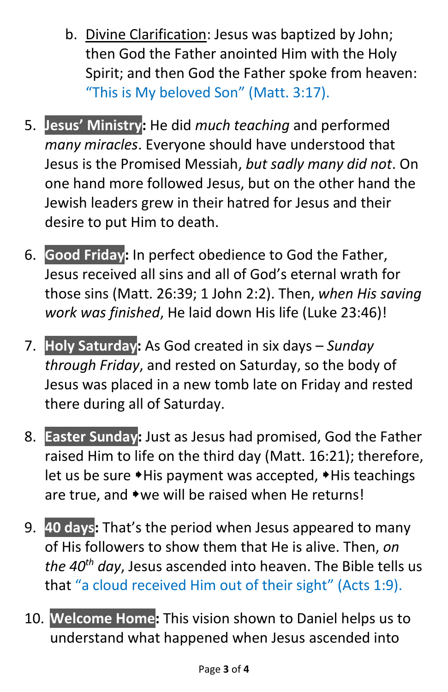- b. Divine Clarification: Jesus was baptized by John; then God the Father anointed Him with the Holy Spirit; and then God the Father spoke from heaven: "This is My beloved Son" (Matt. 3:17).
- 5. **Jesus' Ministry:** He did *much teaching* and performed *many miracles*. Everyone should have understood that Jesus is the Promised Messiah, *but sadly many did not*. On one hand more followed Jesus, but on the other hand the Jewish leaders grew in their hatred for Jesus and their desire to put Him to death.
- 6. **Good Friday:** In perfect obedience to God the Father, Jesus received all sins and all of God's eternal wrath for those sins (Matt. 26:39; 1 John 2:2). Then, *when His saving work was finished*, He laid down His life (Luke 23:46)!
- 7. **Holy Saturday:** As God created in six days *Sunday through Friday*, and rested on Saturday, so the body of Jesus was placed in a new tomb late on Friday and rested there during all of Saturday.
- 8. **Easter Sunday:** Just as Jesus had promised, God the Father raised Him to life on the third day (Matt. 16:21); therefore, let us be sure \*His payment was accepted, \*His teachings are true, and  $\rightarrow$  we will be raised when He returns!
- 9. **40 days:** That's the period when Jesus appeared to many of His followers to show them that He is alive. Then, *on the 40th day*, Jesus ascended into heaven. The Bible tells us that "a cloud received Him out of their sight" (Acts 1:9).
- 10. **Welcome Home:** This vision shown to Daniel helps us to understand what happened when Jesus ascended into